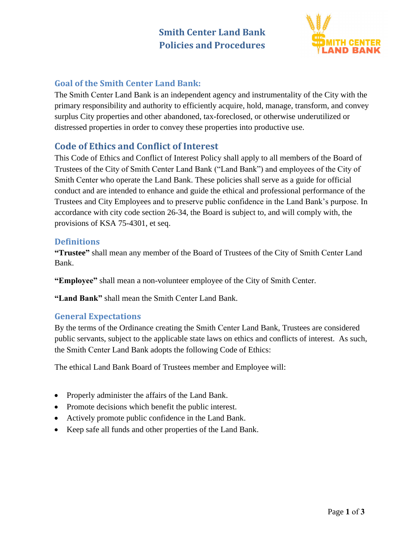

## **Goal of the Smith Center Land Bank:**

The Smith Center Land Bank is an independent agency and instrumentality of the City with the primary responsibility and authority to efficiently acquire, hold, manage, transform, and convey surplus City properties and other abandoned, tax-foreclosed, or otherwise underutilized or distressed properties in order to convey these properties into productive use.

# **Code of Ethics and Conflict of Interest**

This Code of Ethics and Conflict of Interest Policy shall apply to all members of the Board of Trustees of the City of Smith Center Land Bank ("Land Bank") and employees of the City of Smith Center who operate the Land Bank. These policies shall serve as a guide for official conduct and are intended to enhance and guide the ethical and professional performance of the Trustees and City Employees and to preserve public confidence in the Land Bank's purpose. In accordance with city code section 26-34, the Board is subject to, and will comply with, the provisions of KSA 75-4301, et seq.

#### **Definitions**

**"Trustee"** shall mean any member of the Board of Trustees of the City of Smith Center Land Bank.

**"Employee"** shall mean a non-volunteer employee of the City of Smith Center.

**"Land Bank"** shall mean the Smith Center Land Bank.

#### **General Expectations**

By the terms of the Ordinance creating the Smith Center Land Bank, Trustees are considered public servants, subject to the applicable state laws on ethics and conflicts of interest. As such, the Smith Center Land Bank adopts the following Code of Ethics:

The ethical Land Bank Board of Trustees member and Employee will:

- Properly administer the affairs of the Land Bank.
- Promote decisions which benefit the public interest.
- Actively promote public confidence in the Land Bank.
- Keep safe all funds and other properties of the Land Bank.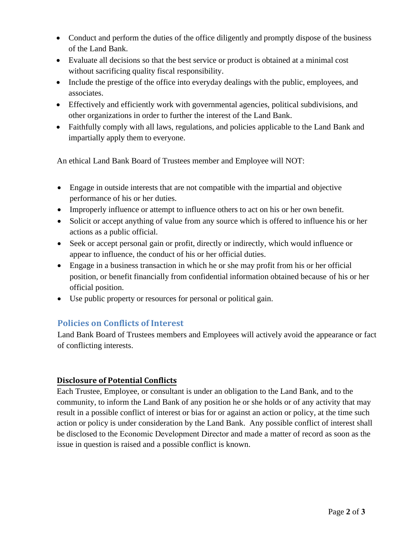- Conduct and perform the duties of the office diligently and promptly dispose of the business of the Land Bank.
- Evaluate all decisions so that the best service or product is obtained at a minimal cost without sacrificing quality fiscal responsibility.
- Include the prestige of the office into everyday dealings with the public, employees, and associates.
- Effectively and efficiently work with governmental agencies, political subdivisions, and other organizations in order to further the interest of the Land Bank.
- Faithfully comply with all laws, regulations, and policies applicable to the Land Bank and impartially apply them to everyone.

An ethical Land Bank Board of Trustees member and Employee will NOT:

- Engage in outside interests that are not compatible with the impartial and objective performance of his or her duties.
- Improperly influence or attempt to influence others to act on his or her own benefit.
- Solicit or accept anything of value from any source which is offered to influence his or her actions as a public official.
- Seek or accept personal gain or profit, directly or indirectly, which would influence or appear to influence, the conduct of his or her official duties.
- Engage in a business transaction in which he or she may profit from his or her official position, or benefit financially from confidential information obtained because of his or her official position.
- Use public property or resources for personal or political gain.

### **Policies on Conflicts of Interest**

Land Bank Board of Trustees members and Employees will actively avoid the appearance or fact of conflicting interests.

#### **Disclosure of Potential Conflicts**

Each Trustee, Employee, or consultant is under an obligation to the Land Bank, and to the community, to inform the Land Bank of any position he or she holds or of any activity that may result in a possible conflict of interest or bias for or against an action or policy, at the time such action or policy is under consideration by the Land Bank. Any possible conflict of interest shall be disclosed to the Economic Development Director and made a matter of record as soon as the issue in question is raised and a possible conflict is known.